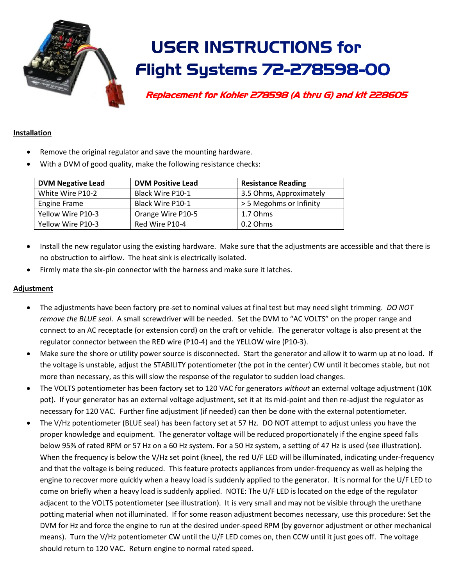

## **USER INSTRUCTIONS for Flight Systems 72-278598-00**

Replacement for Kohler 278598 (A thru G) and kit 228605

## **Installation**

- Remove the original regulator and save the mounting hardware.
- With a DVM of good quality, make the following resistance checks:

| <b>DVM Negative Lead</b> | <b>DVM Positive Lead</b> | <b>Resistance Reading</b> |
|--------------------------|--------------------------|---------------------------|
| White Wire P10-2         | Black Wire P10-1         | 3.5 Ohms, Approximately   |
| Engine Frame             | Black Wire P10-1         | > 5 Megohms or Infinity   |
| Yellow Wire P10-3        | Orange Wire P10-5        | 1.7 Ohms                  |
| Yellow Wire P10-3        | Red Wire P10-4           | $0.2$ Ohms                |

- Install the new regulator using the existing hardware. Make sure that the adjustments are accessible and that there is no obstruction to airflow. The heat sink is electrically isolated.
- Firmly mate the six-pin connector with the harness and make sure it latches.

## **Adjustment**

- The adjustments have been factory pre-set to nominal values at final test but may need slight trimming. *DO NOT remove the BLUE seal*. A small screwdriver will be needed. Set the DVM to "AC VOLTS" on the proper range and connect to an AC receptacle (or extension cord) on the craft or vehicle. The generator voltage is also present at the regulator connector between the RED wire (P10-4) and the YELLOW wire (P10-3).
- Make sure the shore or utility power source is disconnected. Start the generator and allow it to warm up at no load. If the voltage is unstable, adjust the STABILITY potentiometer (the pot in the center) CW until it becomes stable, but not more than necessary, as this will slow the response of the regulator to sudden load changes.
- The VOLTS potentiometer has been factory set to 120 VAC for generators *without* an external voltage adjustment (10K pot). If your generator has an external voltage adjustment, set it at its mid-point and then re-adjust the regulator as necessary for 120 VAC. Further fine adjustment (if needed) can then be done with the external potentiometer.
- The V/Hz potentiometer (BLUE seal) has been factory set at 57 Hz. DO NOT attempt to adjust unless you have the proper knowledge and equipment. The generator voltage will be reduced proportionately if the engine speed falls below 95% of rated RPM or 57 Hz on a 60 Hz system. For a 50 Hz system, a setting of 47 Hz is used (see illustration). When the frequency is below the V/Hz set point (knee), the red U/F LED will be illuminated, indicating under-frequency and that the voltage is being reduced. This feature protects appliances from under-frequency as well as helping the engine to recover more quickly when a heavy load is suddenly applied to the generator. It is normal for the U/F LED to come on briefly when a heavy load is suddenly applied. NOTE: The U/F LED is located on the edge of the regulator adjacent to the VOLTS potentiometer (see illustration). It is very small and may not be visible through the urethane potting material when not illuminated. If for some reason adjustment becomes necessary, use this procedure: Set the DVM for Hz and force the engine to run at the desired under-speed RPM (by governor adjustment or other mechanical means). Turn the V/Hz potentiometer CW until the U/F LED comes on, then CCW until it just goes off. The voltage should return to 120 VAC. Return engine to normal rated speed.